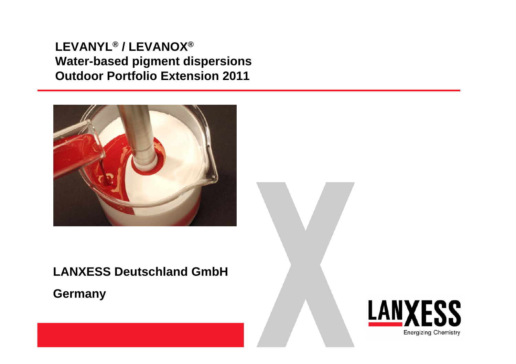# **LEVANYL® / LEVANOX® Water-based pigment dispersions Outdoor Portfolio Extension 2011**



# **LANXESS Deutschland GmbH**

**Germany**

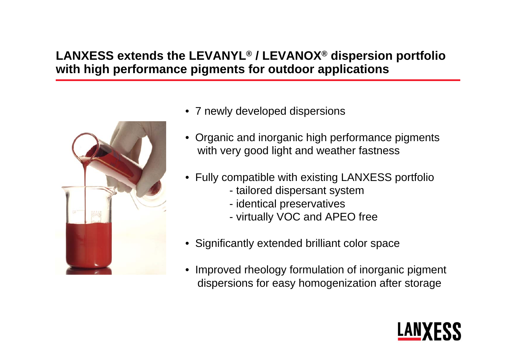# **LANXESS extends the LEVANYL ® / LEVANOX ® dispersion portfolio with high performance pigments for outdoor applications**



- 7 newly developed dispersions
- Organic and inorganic high performance pigments with very good light and weather fastness
- Fully compatible with existing LANXESS portfolio
	- tailored dispersant system
	- identical preservatives
	- virtually VOC and APEO free
- Significantly extended brilliant color space
- • Improved rheology formulation of inorganic pigment dispersions for easy homogenization after storage

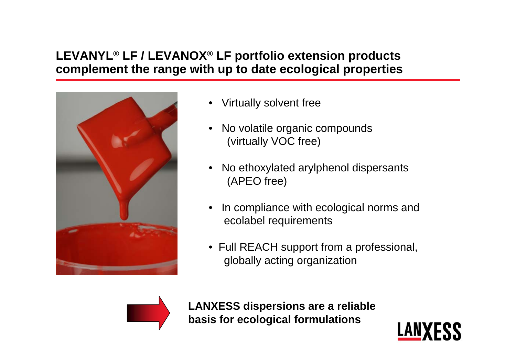### **LEVANYL® LF / LEVANOX® LF portfolio extension products complement the range with up to date ecological properties**



- •Virtually solvent free
- • No volatile organic compounds (virtually VOC free)
- • No ethoxylated arylphenol dispersants (APEO free)
- • In compliance with ecological norms and ecolabel requirements
- Full REACH support from a professional, globally acting organization



**LANXESS dispersions are a reliable basis for ecological formulations**

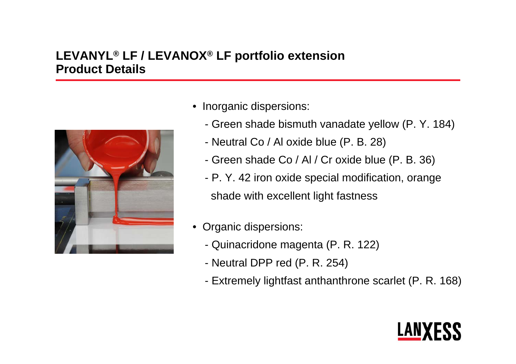# **LEVANYL® LF / LEVANOX® LF portfolio extension Product Details**



- Inorganic dispersions:
	- Green shade bismuth vanadate yellow (P. Y. 184)
	- Neutral Co / Al oxide blue (P. B. 28)
	- Green shade Co / Al / Cr oxide blue (P. B. 36)
	- P. Y. 42 iron oxide special modification, orange shade with excellent light fastness
- Organic dispersions:
	- Quinacridone magenta (P. R. 122)
	- Neutral DPP red (P. R. 254)
	- Extremely lightfast anthanthrone scarlet (P. R. 168)

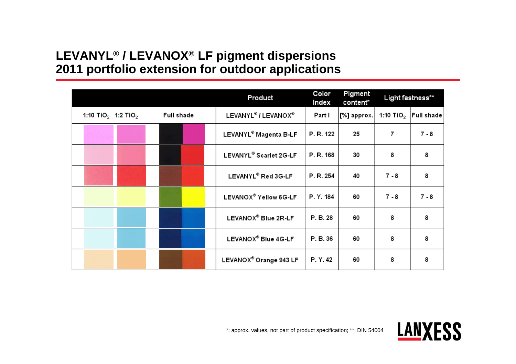#### **LEVANYL® / LEVANOX® LF pigment dispersions 2011 portfolio extension for outdoor applications**

|                                            |            | Product                                     | Color<br>Index | Pigment<br>content* | Light fastness** |            |
|--------------------------------------------|------------|---------------------------------------------|----------------|---------------------|------------------|------------|
| 1:10 TiO <sub>2</sub> 1:2 TiO <sub>2</sub> | Full shade | LEVANYL <sup>®</sup> / LEVANOX <sup>®</sup> | Part I         | [%] approx.         | 1:10 TiO $_2$    | Full shade |
|                                            |            | LEVANYL® Magenta B-LF                       | P. R. 122      | 25                  | 7                | $7 - 8$    |
|                                            |            | LEVANYL® Scarlet 2G-LF                      | P. R. 168      | 30                  | 8                | 8          |
|                                            |            | LEVANYL® Red 3G-LF                          | P. R. 254      | 40                  | $7 - 8$          | 8          |
|                                            |            | LEVANOX® Yellow 6G-LF                       | P. Y. 184      | 60                  | $7 - 8$          | $7 - 8$    |
|                                            |            | LEVANOX® Blue 2R-LF                         | P. B. 28       | 60                  | 8                | 8          |
|                                            |            | LEVANOX® Blue 4G-LF                         | P. B. 36       | 60                  | 8                | 8          |
|                                            |            | LEVANOX® Orange 943 LF                      | P.Y.42         | 60                  | 8                | 8          |

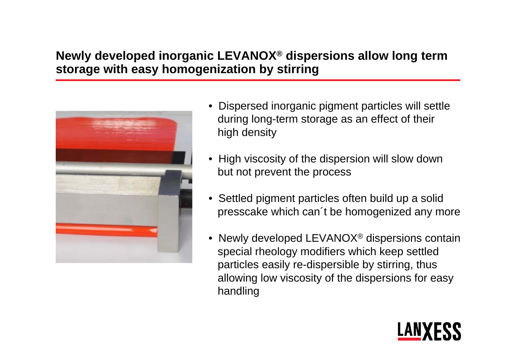### **Newly developed inorganic LEVANOX ® dispersions allow long term storage with easy homogenization by stirring**



- Dispersed inorganic pigment particles will settle during long-term storage as an effect of their high density
- High viscosity of the dispersion will slow down but not prevent the process
- Settled pigment particles often build up a solid presscake which can´t be homogenized any more
- $\bullet\,$  Newly developed LEVANOX® dispersions contain special rheology modifiers which keep settled particles easily re-dispersible by stirring, thus allowing low viscosity of the dispersions for easy handling

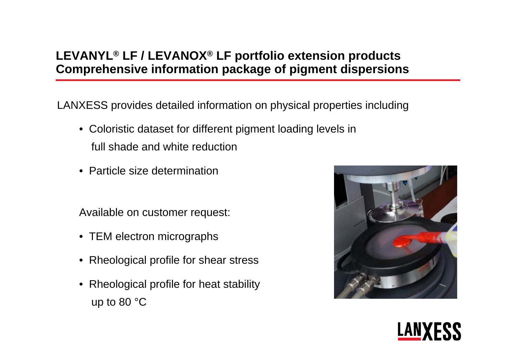### **LEVANYL® LF / LEVANOX® LF portfolio extension products Comprehensive information package of pigment dispersions**

LANXESS provides detailed information on physical properties including

- Coloristic dataset for different pigment loading levels in full shade and white reduction
- Particle size determination

Available on customer request:

- TEM electron micrographs
- Rheological profile for shear stress
- Rheological profile for heat stability up to 80 °C



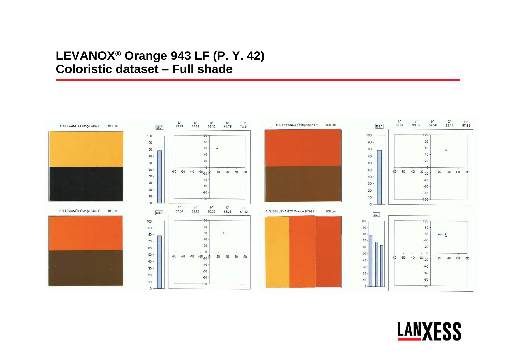#### LEVANOX<sup>®</sup> Orange 943 LF (P. Y. 42) **Coloristic dataset - Full shade**



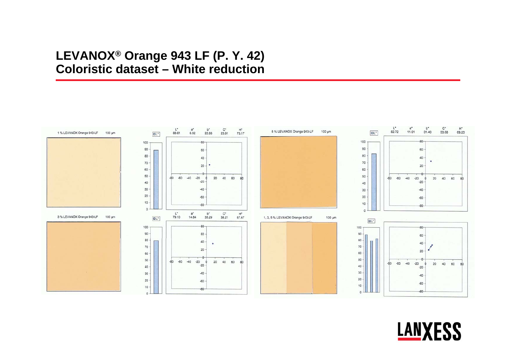#### LEVANOX<sup>®</sup> Orange 943 LF (P. Y. 42) **Coloristic dataset - White reduction**



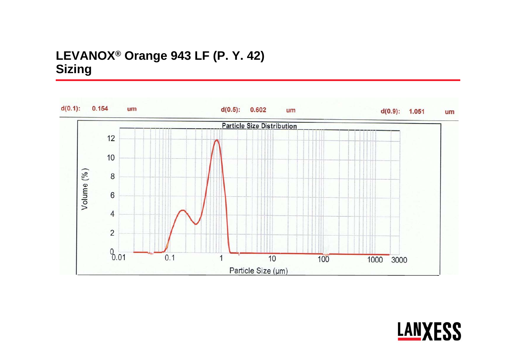# LEVANOX<sup>®</sup> Orange 943 LF (P. Y. 42) **Sizing**